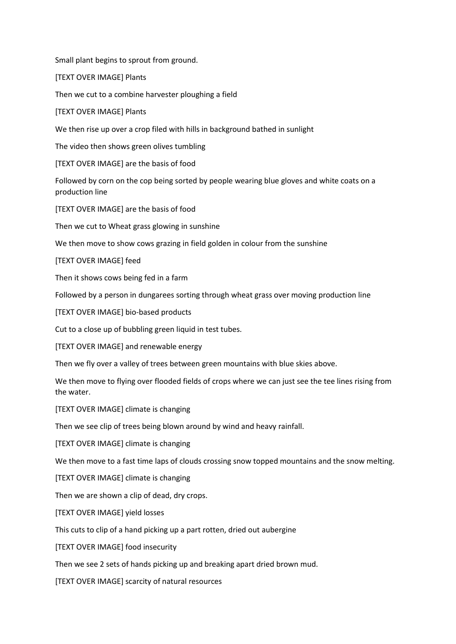Small plant begins to sprout from ground.

[TEXT OVER IMAGE] Plants

Then we cut to a combine harvester ploughing a field

[TEXT OVER IMAGE] Plants

We then rise up over a crop filed with hills in background bathed in sunlight

The video then shows green olives tumbling

[TEXT OVER IMAGE] are the basis of food

Followed by corn on the cop being sorted by people wearing blue gloves and white coats on a production line

[TEXT OVER IMAGE] are the basis of food

Then we cut to Wheat grass glowing in sunshine

We then move to show cows grazing in field golden in colour from the sunshine

[TEXT OVER IMAGE] feed

Then it shows cows being fed in a farm

Followed by a person in dungarees sorting through wheat grass over moving production line

[TEXT OVER IMAGE] bio-based products

Cut to a close up of bubbling green liquid in test tubes.

[TEXT OVER IMAGE] and renewable energy

Then we fly over a valley of trees between green mountains with blue skies above.

We then move to flying over flooded fields of crops where we can just see the tee lines rising from the water.

[TEXT OVER IMAGE] climate is changing

Then we see clip of trees being blown around by wind and heavy rainfall.

[TEXT OVER IMAGE] climate is changing

We then move to a fast time laps of clouds crossing snow topped mountains and the snow melting.

[TEXT OVER IMAGE] climate is changing

Then we are shown a clip of dead, dry crops.

[TEXT OVER IMAGE] yield losses

This cuts to clip of a hand picking up a part rotten, dried out aubergine

[TEXT OVER IMAGE] food insecurity

Then we see 2 sets of hands picking up and breaking apart dried brown mud.

[TEXT OVER IMAGE] scarcity of natural resources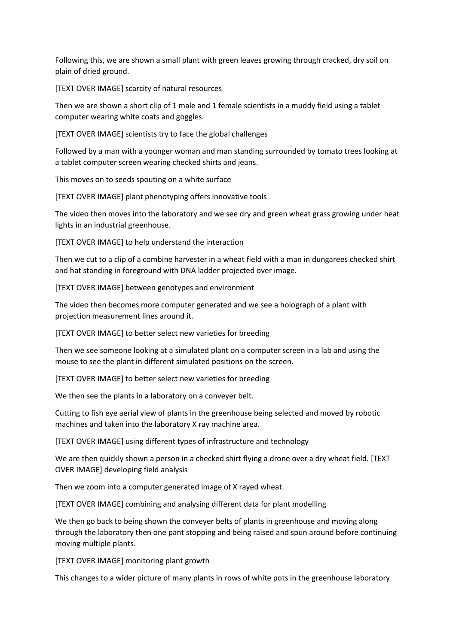Following this, we are shown a small plant with green leaves growing through cracked, dry soil on plain of dried ground.

[TEXT OVER IMAGE] scarcity of natural resources

Then we are shown a short clip of 1 male and 1 female scientists in a muddy field using a tablet computer wearing white coats and goggles.

[TEXT OVER IMAGE] scientists try to face the global challenges

Followed by a man with a younger woman and man standing surrounded by tomato trees looking at a tablet computer screen wearing checked shirts and jeans.

This moves on to seeds spouting on a white surface

[TEXT OVER IMAGE] plant phenotyping offers innovative tools

The video then moves into the laboratory and we see dry and green wheat grass growing under heat lights in an industrial greenhouse.

[TEXT OVER IMAGE] to help understand the interaction

Then we cut to a clip of a combine harvester in a wheat field with a man in dungarees checked shirt and hat standing in foreground with DNA ladder projected over image.

[TEXT OVER IMAGE] between genotypes and environment

The video then becomes more computer generated and we see a holograph of a plant with projection measurement lines around it.

[TEXT OVER IMAGE] to better select new varieties for breeding

Then we see someone looking at a simulated plant on a computer screen in a lab and using the mouse to see the plant in different simulated positions on the screen.

[TEXT OVER IMAGE] to better select new varieties for breeding

We then see the plants in a laboratory on a conveyer belt.

Cutting to fish eye aerial view of plants in the greenhouse being selected and moved by robotic machines and taken into the laboratory X ray machine area.

[TEXT OVER IMAGE] using different types of infrastructure and technology

We are then quickly shown a person in a checked shirt flying a drone over a dry wheat field. [TEXT] OVER IMAGE] developing field analysis

Then we zoom into a computer generated image of X rayed wheat.

[TEXT OVER IMAGE] combining and analysing different data for plant modelling

We then go back to being shown the conveyer belts of plants in greenhouse and moving along through the laboratory then one pant stopping and being raised and spun around before continuing moving multiple plants.

[TEXT OVER IMAGE] monitoring plant growth

This changes to a wider picture of many plants in rows of white pots in the greenhouse laboratory